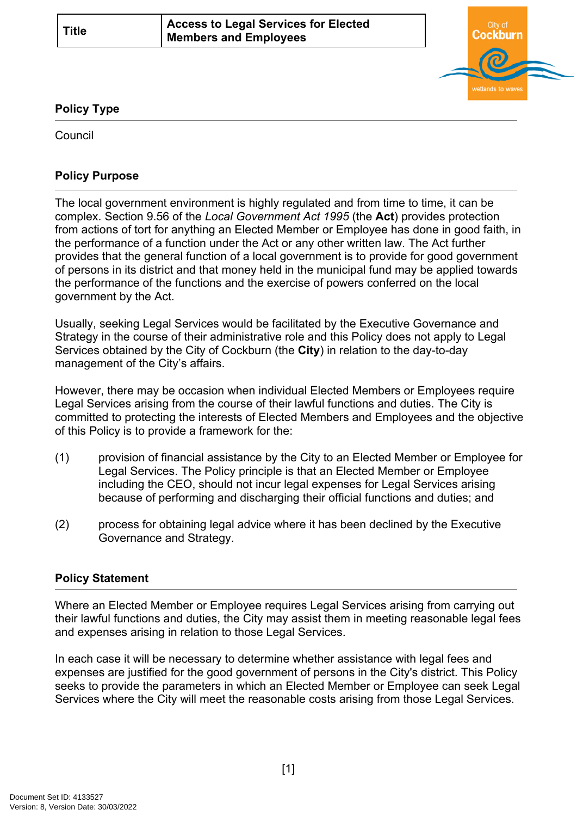

## **Policy Type**

Council

# **Policy Purpose**

The local government environment is highly regulated and from time to time, it can be complex. Section 9.56 of the *Local Government Act 1995* (the **Act**) provides protection from actions of tort for anything an Elected Member or Employee has done in good faith, in the performance of a function under the Act or any other written law. The Act further provides that the general function of a local government is to provide for good government of persons in its district and that money held in the municipal fund may be applied towards the performance of the functions and the exercise of powers conferred on the local government by the Act.

Usually, seeking Legal Services would be facilitated by the Executive Governance and Strategy in the course of their administrative role and this Policy does not apply to Legal Services obtained by the City of Cockburn (the **City**) in relation to the day-to-day management of the City's affairs.

However, there may be occasion when individual Elected Members or Employees require Legal Services arising from the course of their lawful functions and duties. The City is committed to protecting the interests of Elected Members and Employees and the objective of this Policy is to provide a framework for the:

- (1) provision of financial assistance by the City to an Elected Member or Employee for Legal Services. The Policy principle is that an Elected Member or Employee including the CEO, should not incur legal expenses for Legal Services arising because of performing and discharging their official functions and duties; and
- (2) process for obtaining legal advice where it has been declined by the Executive Governance and Strategy.

# **[Policy Statement](#page-0-0)**

<span id="page-0-0"></span>Where an Elected Member or Employee requires Legal Services arising from carrying out their lawful functions and duties, the City may assist them in meeting reasonable legal fees and expenses arising in relation to those Legal Services.

In each case it will be necessary to determine whether assistance with legal fees and expenses are justified for the good government of persons in the City's district. This Policy seeks to provide the parameters in which an Elected Member or Employee can seek Legal Services where the City will meet the reasonable costs arising from those Legal Services.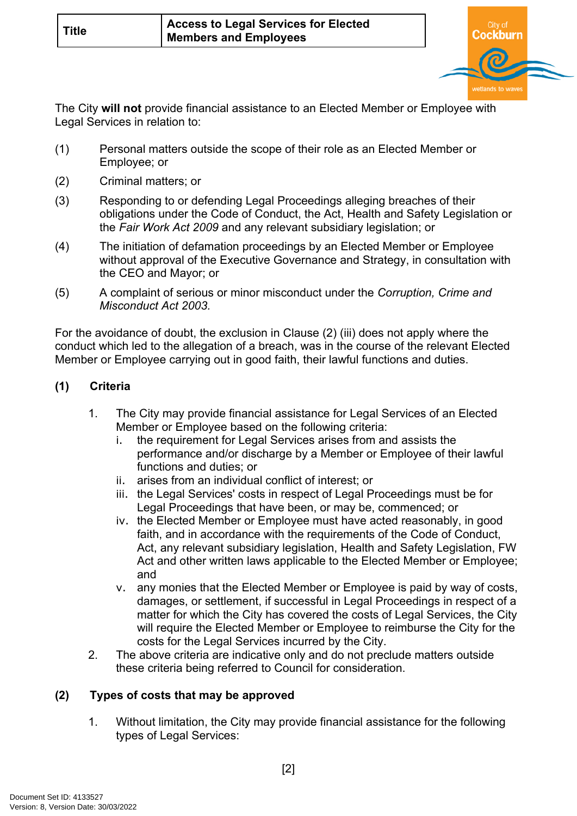

The City **will not** provide financial assistance to an Elected Member or Employee with Legal Services in relation to:

- (1) Personal matters outside the scope of their role as an Elected Member or Employee; or
- (2) Criminal matters; or
- (3) Responding to or defending Legal Proceedings alleging breaches of their obligations under the Code of Conduct, the Act, Health and Safety Legislation or the *Fair Work Act 2009* and any relevant subsidiary legislation; or
- (4) The initiation of defamation proceedings by an Elected Member or Employee without approval of the Executive Governance and Strategy, in consultation with the CEO and Mayor; or
- (5) A complaint of serious or minor misconduct under the *Corruption, Crime and Misconduct Act 2003.*

For the avoidance of doubt, the exclusion in Clause (2) (iii) does not apply where the conduct which led to the allegation of a breach, was in the course of the relevant Elected Member or Employee carrying out in good faith, their lawful functions and duties.

# **(1) Criteria**

- 1. The City may provide financial assistance for Legal Services of an Elected Member or Employee based on the following criteria:
	- i. the requirement for Legal Services arises from and assists the performance and/or discharge by a Member or Employee of their lawful functions and duties; or
	- ii. arises from an individual conflict of interest; or
	- iii. the Legal Services' costs in respect of Legal Proceedings must be for Legal Proceedings that have been, or may be, commenced; or
	- iv. the Elected Member or Employee must have acted reasonably, in good faith, and in accordance with the requirements of the Code of Conduct, Act, any relevant subsidiary legislation, Health and Safety Legislation, FW Act and other written laws applicable to the Elected Member or Employee; and
	- v. any monies that the Elected Member or Employee is paid by way of costs, damages, or settlement, if successful in Legal Proceedings in respect of a matter for which the City has covered the costs of Legal Services, the City will require the Elected Member or Employee to reimburse the City for the costs for the Legal Services incurred by the City.
- 2. The above criteria are indicative only and do not preclude matters outside these criteria being referred to Council for consideration.

# **(2) Types of costs that may be approved**

1. Without limitation, the City may provide financial assistance for the following types of Legal Services: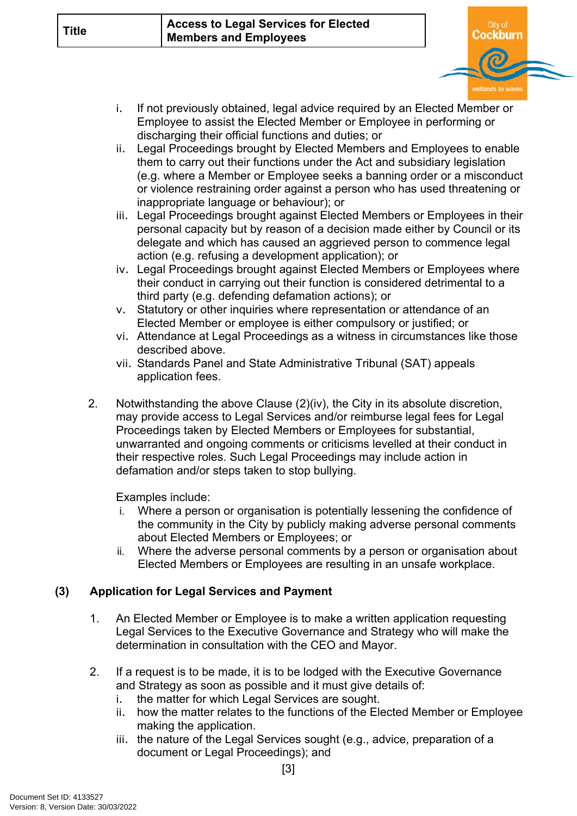

- i. If not previously obtained, legal advice required by an Elected Member or Employee to assist the Elected Member or Employee in performing or discharging their official functions and duties; or
- ii. Legal Proceedings brought by Elected Members and Employees to enable them to carry out their functions under the Act and subsidiary legislation (e.g. where a Member or Employee seeks a banning order or a misconduct or violence restraining order against a person who has used threatening or inappropriate language or behaviour); or
- iii. Legal Proceedings brought against Elected Members or Employees in their personal capacity but by reason of a decision made either by Council or its delegate and which has caused an aggrieved person to commence legal action (e.g. refusing a development application); or
- iv. Legal Proceedings brought against Elected Members or Employees where their conduct in carrying out their function is considered detrimental to a third party (e.g. defending defamation actions); or
- v. Statutory or other inquiries where representation or attendance of an Elected Member or employee is either compulsory or justified; or
- vi. Attendance at Legal Proceedings as a witness in circumstances like those described above.
- vii. Standards Panel and State Administrative Tribunal (SAT) appeals application fees.
- 2. Notwithstanding the above Clause (2)(iv), the City in its absolute discretion, may provide access to Legal Services and/or reimburse legal fees for Legal Proceedings taken by Elected Members or Employees for substantial, unwarranted and ongoing comments or criticisms levelled at their conduct in their respective roles. Such Legal Proceedings may include action in defamation and/or steps taken to stop bullying.

Examples include:

- i. Where a person or organisation is potentially lessening the confidence of the community in the City by publicly making adverse personal comments about Elected Members or Employees; or
- ii. Where the adverse personal comments by a person or organisation about Elected Members or Employees are resulting in an unsafe workplace.

# **(3) Application for Legal Services and Payment**

- 1. An Elected Member or Employee is to make a written application requesting Legal Services to the Executive Governance and Strategy who will make the determination in consultation with the CEO and Mayor.
- 2. If a request is to be made, it is to be lodged with the Executive Governance and Strategy as soon as possible and it must give details of:
	- i. the matter for which Legal Services are sought.
	- ii. how the matter relates to the functions of the Elected Member or Employee making the application.
	- iii. the nature of the Legal Services sought (e.g., advice, preparation of a document or Legal Proceedings); and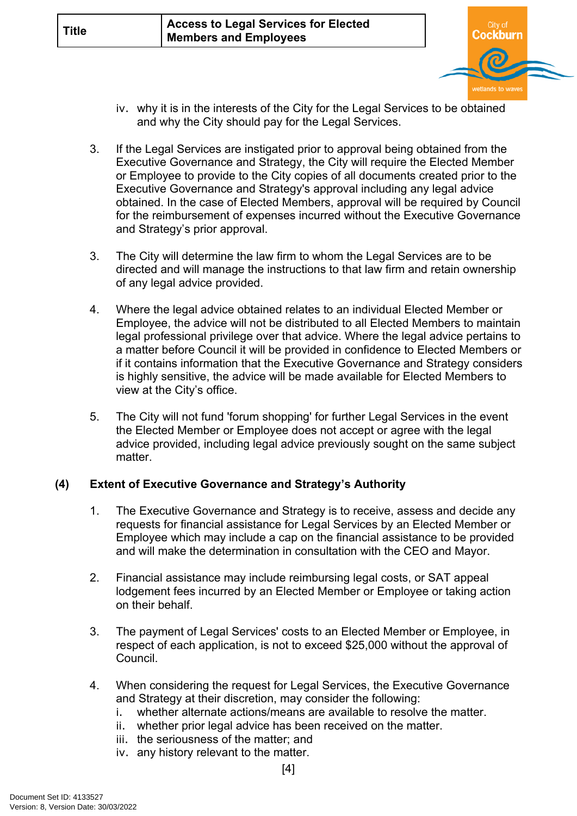

- iv. why it is in the interests of the City for the Legal Services to be obtained and why the City should pay for the Legal Services.
- 3. If the Legal Services are instigated prior to approval being obtained from the Executive Governance and Strategy, the City will require the Elected Member or Employee to provide to the City copies of all documents created prior to the Executive Governance and Strategy's approval including any legal advice obtained. In the case of Elected Members, approval will be required by Council for the reimbursement of expenses incurred without the Executive Governance and Strategy's prior approval.
- 3. The City will determine the law firm to whom the Legal Services are to be directed and will manage the instructions to that law firm and retain ownership of any legal advice provided.
- 4. Where the legal advice obtained relates to an individual Elected Member or Employee, the advice will not be distributed to all Elected Members to maintain legal professional privilege over that advice. Where the legal advice pertains to a matter before Council it will be provided in confidence to Elected Members or if it contains information that the Executive Governance and Strategy considers is highly sensitive, the advice will be made available for Elected Members to view at the City's office.
- 5. The City will not fund 'forum shopping' for further Legal Services in the event the Elected Member or Employee does not accept or agree with the legal advice provided, including legal advice previously sought on the same subject matter.

# **(4) Extent of Executive Governance and Strategy's Authority**

- 1. The Executive Governance and Strategy is to receive, assess and decide any requests for financial assistance for Legal Services by an Elected Member or Employee which may include a cap on the financial assistance to be provided and will make the determination in consultation with the CEO and Mayor.
- 2. Financial assistance may include reimbursing legal costs, or SAT appeal lodgement fees incurred by an Elected Member or Employee or taking action on their behalf.
- 3. The payment of Legal Services' costs to an Elected Member or Employee, in respect of each application, is not to exceed \$25,000 without the approval of Council.
- 4. When considering the request for Legal Services, the Executive Governance and Strategy at their discretion, may consider the following:
	- i. whether alternate actions/means are available to resolve the matter.
	- ii. whether prior legal advice has been received on the matter.
	- iii. the seriousness of the matter; and
	- iv. any history relevant to the matter.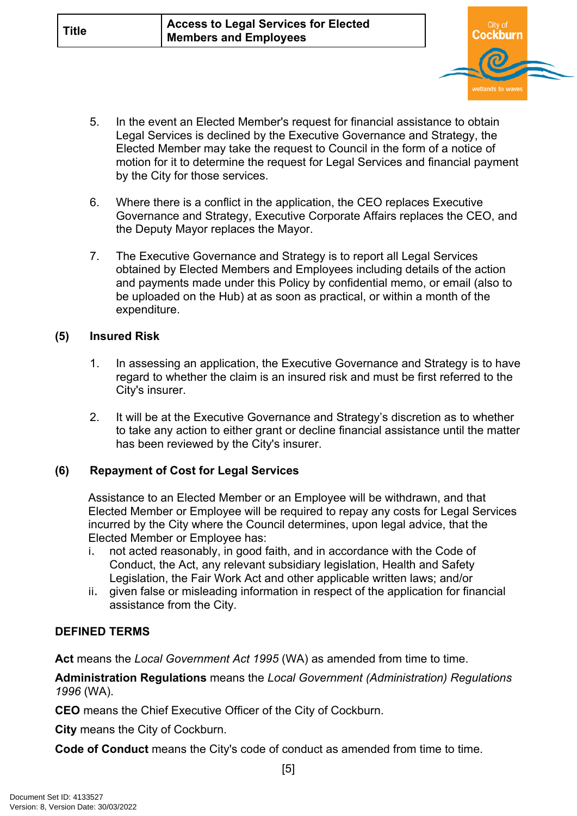

- 5. In the event an Elected Member's request for financial assistance to obtain Legal Services is declined by the Executive Governance and Strategy, the Elected Member may take the request to Council in the form of a notice of motion for it to determine the request for Legal Services and financial payment by the City for those services.
- 6. Where there is a conflict in the application, the CEO replaces Executive Governance and Strategy, Executive Corporate Affairs replaces the CEO, and the Deputy Mayor replaces the Mayor.
- 7. The Executive Governance and Strategy is to report all Legal Services obtained by Elected Members and Employees including details of the action and payments made under this Policy by confidential memo, or email (also to be uploaded on the Hub) at as soon as practical, or within a month of the expenditure.

## **(5) Insured Risk**

- 1. In assessing an application, the Executive Governance and Strategy is to have regard to whether the claim is an insured risk and must be first referred to the City's insurer.
- 2. It will be at the Executive Governance and Strategy's discretion as to whether to take any action to either grant or decline financial assistance until the matter has been reviewed by the City's insurer.

# **(6) Repayment of Cost for Legal Services**

Assistance to an Elected Member or an Employee will be withdrawn, and that Elected Member or Employee will be required to repay any costs for Legal Services incurred by the City where the Council determines, upon legal advice, that the Elected Member or Employee has:

- i. not acted reasonably, in good faith, and in accordance with the Code of Conduct, the Act, any relevant subsidiary legislation, Health and Safety Legislation, the Fair Work Act and other applicable written laws; and/or
- ii. given false or misleading information in respect of the application for financial assistance from the City.

# **DEFINED TERMS**

**Act** means the *Local Government Act 1995* (WA) as amended from time to time.

**Administration Regulations** means the *Local Government (Administration) Regulations 1996* (WA).

**CEO** means the Chief Executive Officer of the City of Cockburn.

**City** means the City of Cockburn.

**Code of Conduct** means the City's code of conduct as amended from time to time.